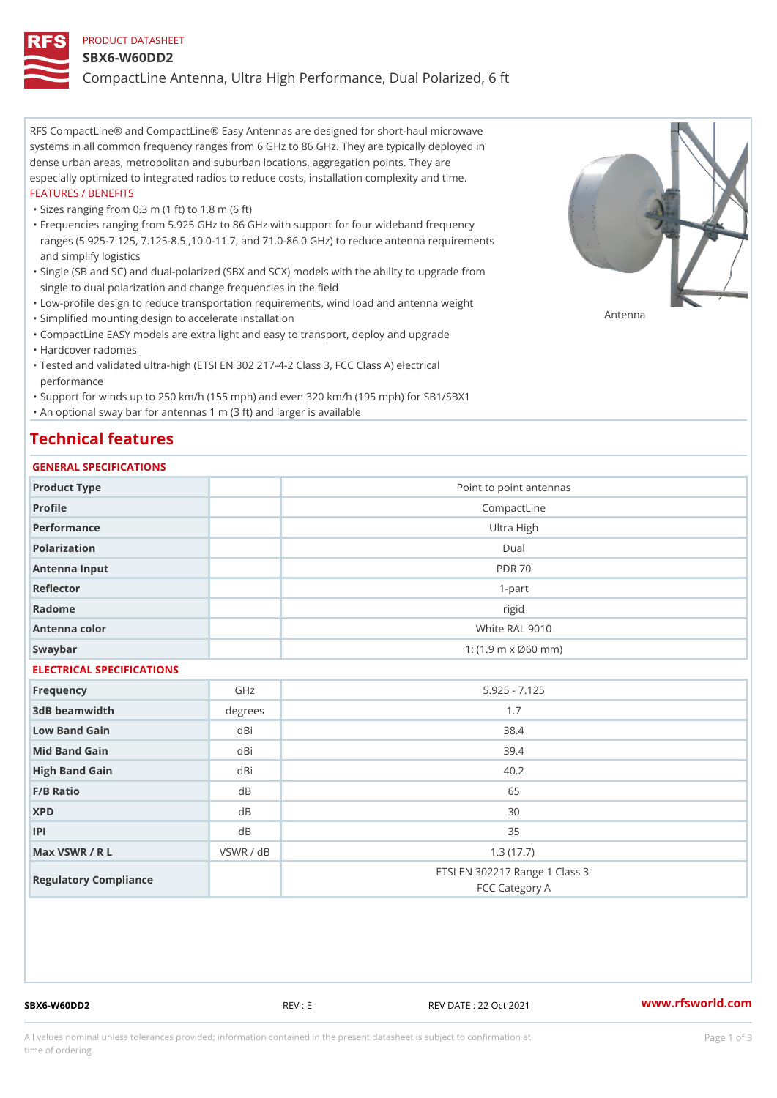#### PRODUCT DATASHEET

#### SBX6-W60DD2

CompactLine Antenna, Ultra High Performance, Dual Polarized, 6 ft

RFS CompactLine® and CompactLine® Easy Antennas are designed for short-haul microwave systems in all common frequency ranges from 6 GHz to 86 GHz. They are typically deployed in dense urban areas, metropolitan and suburban locations, aggregation points. They are especially optimized to integrated radios to reduce costs, installation complexity and time. FEATURES / BENEFITS

"Sizes ranging from 0.3 m (1 ft) to 1.8 m (6 ft)

- Frequencies ranging from 5.925 GHz to 86 GHz with support for four wideband frequency " ranges (5.925-7.125, 7.125-8.5 ,10.0-11.7, and 71.0-86.0 GHz) to reduce antenna requirements and simplify logistics
- Single (SB and SC) and dual-polarized (SBX and SCX) models with the ability to upgrade from " single to dual polarization and change frequencies in the field
- "Low-profile design to reduce transportation requirements, wind load and antenna weight
- "Simplified mounting design to accelerate installation

 "CompactLine EASY models are extra light and easy to transport, deploy and upgrade "Hardcover radomes

Tested and validated ultra-high (ETSI EN 302 217-4-2 Class 3, FCC Class A) electrical " performance

 "Support for winds up to 250 km/h (155 mph) and even 320 km/h (195 mph) for SB1/SBX1 "An optional sway bar for antennas 1 m (3 ft) and larger is available

# Technical features

### GENERAL SPECIFICATIONS

| GENERAL SELGIFICATIONS    |           |                                                  |  |  |  |  |
|---------------------------|-----------|--------------------------------------------------|--|--|--|--|
| Product Type              |           | Point to point antennas                          |  |  |  |  |
| Profile                   |           | CompactLine                                      |  |  |  |  |
| Performance               |           | Ultra High                                       |  |  |  |  |
| Polarization              |           | $D$ ual                                          |  |  |  |  |
| Antenna Input             |           | <b>PDR 70</b>                                    |  |  |  |  |
| Reflector                 |           | $1 - p$ art                                      |  |  |  |  |
| Radome                    |           | rigid                                            |  |  |  |  |
| Antenna color             |           | White RAL 9010                                   |  |  |  |  |
| Swaybar                   |           | 1: $(1.9 \, m \times 060 \, mm)$                 |  |  |  |  |
| ELECTRICAL SPECIFICATIONS |           |                                                  |  |  |  |  |
| Frequency                 | GHz       | $5.925 - 7.125$                                  |  |  |  |  |
| 3dB beamwidth             | degrees   | 1.7                                              |  |  |  |  |
| Low Band Gain             | dBi       | 38.4                                             |  |  |  |  |
| Mid Band Gain             | dBi       | 39.4                                             |  |  |  |  |
| High Band Gain            | dBi       | 40.2                                             |  |  |  |  |
| F/B Ratio                 | d B       | 65                                               |  |  |  |  |
| <b>XPD</b>                | d B       | 30                                               |  |  |  |  |
| P                         | d B       | 35                                               |  |  |  |  |
| Max VSWR / R L            | VSWR / dB | 1.3(17.7)                                        |  |  |  |  |
| Regulatory Compliance     |           | ETSI EN 302217 Range 1 Class 3<br>FCC Category A |  |  |  |  |

SBX6-W60DD2 REV : REV : REV DATE : 22 Oct 2021 WWW.rfsworld.com

Antenna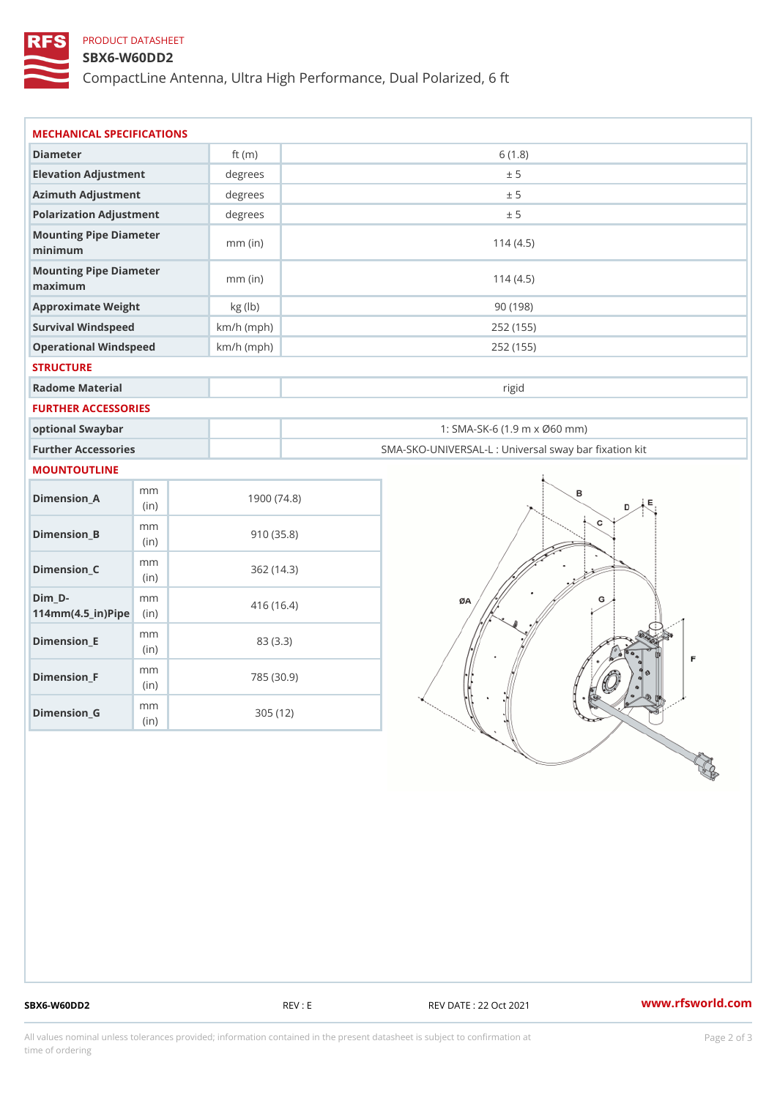## PRODUCT DATASHEET

### SBX6-W60DD2

CompactLine Antenna, Ultra High Performance, Dual Polarized, 6 ft

| MECHANICAL SPECIFICATIONS                                          |             |              |                                                   |
|--------------------------------------------------------------------|-------------|--------------|---------------------------------------------------|
| Diameter                                                           |             | ft $(m)$     | 6(1.8)                                            |
| Elevation Adjustment                                               |             | degrees      | ± 5                                               |
| Azimuth Adjustment                                                 |             | degrees      | ± 5                                               |
| Polarization Adjustment                                            |             | degrees      | ± 5                                               |
| Mounting Pipe Diameter<br>minimum                                  |             | $mm$ (in)    | 114(4.5)                                          |
| Mounting Pipe Diameter<br>maximum                                  |             | $mm$ (in)    | 114(4.5)                                          |
| Approximate Weight                                                 |             | kg (lb)      | 90(198)                                           |
| Survival Windspeed                                                 |             | $km/h$ (mph) | 252 (155)                                         |
| Operational Windspeed                                              |             | $km/h$ (mph) | 252 (155)                                         |
| <b>STRUCTURE</b>                                                   |             |              |                                                   |
| Radome Material                                                    |             |              | rigid                                             |
| FURTHER ACCESSORIES                                                |             |              |                                                   |
| optional Swaybar                                                   |             |              | 1: SMA-SK-6 (1.9 m x Ø60 mm)                      |
| Further Accessories                                                |             |              | SMA-SKO-UNIVERSAL-L : Universal sway bar fixation |
| MOUNTOUTLINE                                                       |             |              |                                                   |
| $Dimension_A$                                                      | m m<br>(in) |              | 1900(74.8)                                        |
| $Dimension_B$                                                      | m m<br>(in) |              | 910(35.8)                                         |
| $Dimension_C$                                                      | m m<br>(in) |              | 362(14.3)                                         |
| $Dim_D -$<br>$114$ m m $(4.5$ ir $)$ $\sqrt{$ ii $\sqrt{p}}$ $\ge$ | m m         |              | 416 (16.4)                                        |
| $Dimension$ = E                                                    | m m<br>(in) |              | 83 (3.3)                                          |
| $Dimension_F$                                                      | m m<br>(in) |              | 785 (30.9)                                        |
| $D$ imension_G                                                     | m m<br>(in) |              | 305 (12)                                          |

SBX6-W60DD2 REV : E REV DATE : 22 Oct 2021 WWW.rfsworld.com